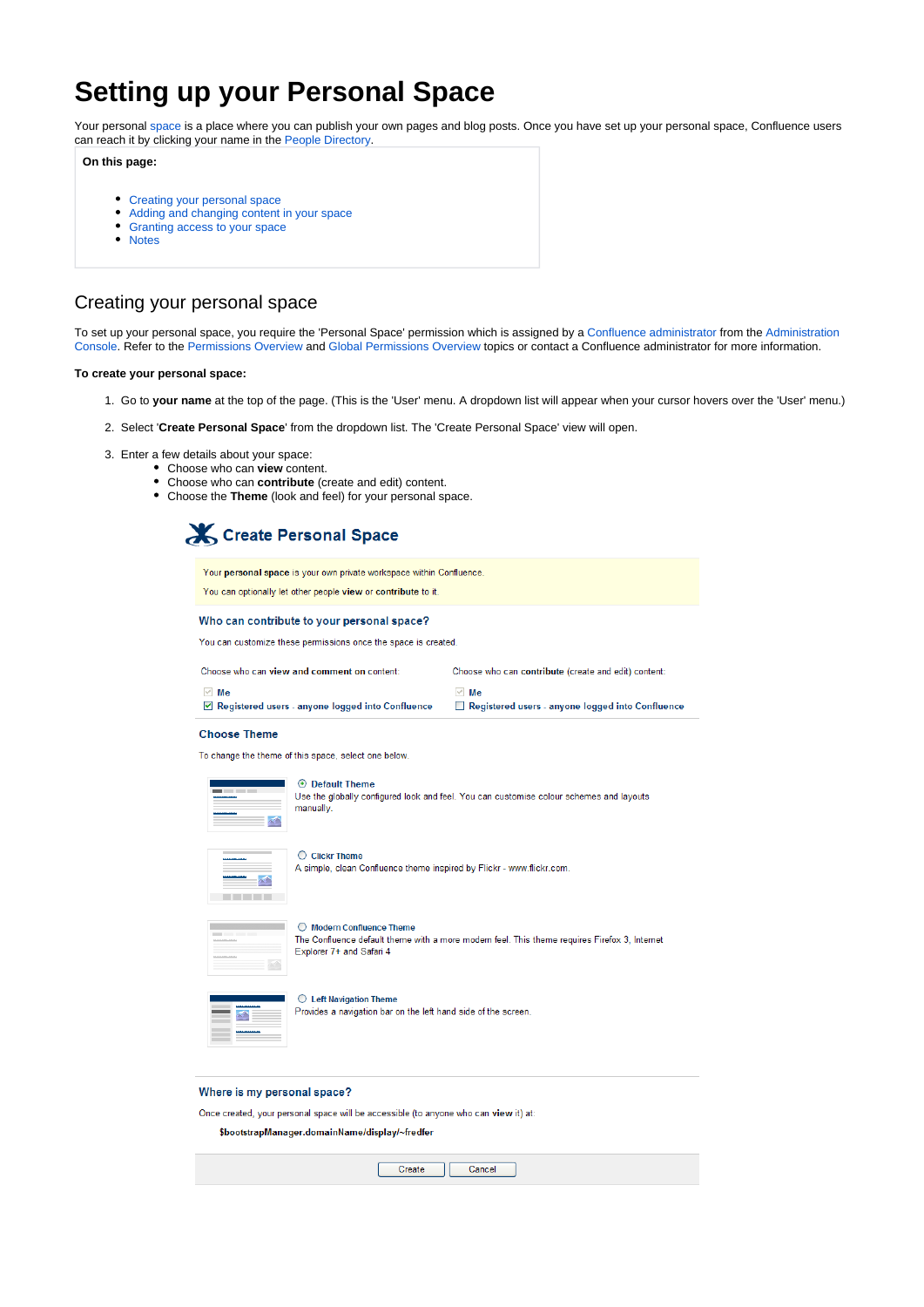# **Setting up your Personal Space**

Your personal space is a place where you can publish your own pages and blog posts. Once you have set up your personal space, Confluence users can reach it by clicking your name in the [People Directory.](https://wikis.nyu.edu/display/DOC/Searching+the+People+Directory)

### **On this page:**

- [Creating your personal space](#page-0-0)
- [Adding and changing content in your space](#page-1-0)
- [Granting access to your space](#page-1-1)
- [Notes](#page-1-2)

# <span id="page-0-0"></span>Creating your personal space

To set up your personal space, you require the 'Personal Space' permission which is assigned by a Confluence administrator from the Administration Console. Refer to the Permissions Overview and [Global Permissions Overview](https://wikis.nyu.edu/pages/viewpage.action?pageId=20582176) topics or contact a Confluence administrator for more information.

#### **To create your personal space:**

- 1. Go to **your name** at the top of the page. (This is the 'User' menu. A dropdown list will appear when your cursor hovers over the 'User' menu.)
- 2. Select '**Create Personal Space**' from the dropdown list. The 'Create Personal Space' view will open.
- 3. Enter a few details about your space:
	- Choose who can **view** content.
	- Choose who can **contribute** (create and edit) content.
	- Choose the **Theme** (look and feel) for your personal space.



Your personal space is your own private workspace within Confluence. You can optionally let other people view or contribute to it.

Who can contribute to your personal space?

You can customize these permissions once the space is created.

Choose who can view and comment on content:

Choose who can contribute (create and edit) content:

 $\vee$  Me Registered users - anyone logged into Confluence  $\overline{\vee}$  Me Registered users - anyone logged into Confluence

#### Choose Theme

To change the theme of this space, select one below.



⊙ Default Theme Use the globally configured look and feel. You can customise colour schemes and layouts manually

 $\bigcirc$  Clickr Theme A simple, clean Confluence theme inspired by Flickr - www.flickr.com.

| --- |  |  |
|-----|--|--|
|     |  |  |
|     |  |  |
|     |  |  |
|     |  |  |
|     |  |  |

 $\bigcirc$  Modern Confluence Theme

The Confluence default theme with a more modern feel. This theme requires Firefox 3, Internet Explorer 7+ and Safari 4

 $\bigcirc$  Left Navigation Theme

Provides a navigation bar on the left hand side of the screen

#### Where is my personal space?

Once created, your personal space will be accessible (to anyone who can view it) at

\$bootstrapManager.domainName/display/~fredfer

Create Cancel